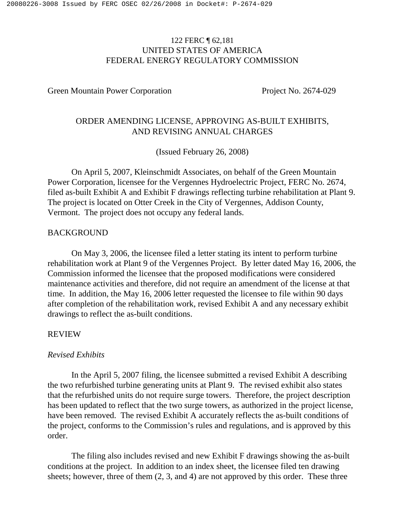# 122 FERC ¶ 62,181 UNITED STATES OF AMERICA FEDERAL ENERGY REGULATORY COMMISSION

Green Mountain Power Corporation Project No. 2674-029

# ORDER AMENDING LICENSE, APPROVING AS-BUILT EXHIBITS, AND REVISING ANNUAL CHARGES

(Issued February 26, 2008)

On April 5, 2007, Kleinschmidt Associates, on behalf of the Green Mountain Power Corporation, licensee for the Vergennes Hydroelectric Project, FERC No. 2674, filed as-built Exhibit A and Exhibit F drawings reflecting turbine rehabilitation at Plant 9. The project is located on Otter Creek in the City of Vergennes, Addison County, Vermont. The project does not occupy any federal lands.

### BACKGROUND

On May 3, 2006, the licensee filed a letter stating its intent to perform turbine rehabilitation work at Plant 9 of the Vergennes Project. By letter dated May 16, 2006, the Commission informed the licensee that the proposed modifications were considered maintenance activities and therefore, did not require an amendment of the license at that time. In addition, the May 16, 2006 letter requested the licensee to file within 90 days after completion of the rehabilitation work, revised Exhibit A and any necessary exhibit drawings to reflect the as-built conditions.

### REVIEW

### *Revised Exhibits*

In the April 5, 2007 filing, the licensee submitted a revised Exhibit A describing the two refurbished turbine generating units at Plant 9. The revised exhibit also states that the refurbished units do not require surge towers. Therefore, the project description has been updated to reflect that the two surge towers, as authorized in the project license, have been removed. The revised Exhibit A accurately reflects the as-built conditions of the project, conforms to the Commission's rules and regulations, and is approved by this order.

The filing also includes revised and new Exhibit F drawings showing the as-built conditions at the project. In addition to an index sheet, the licensee filed ten drawing sheets; however, three of them (2, 3, and 4) are not approved by this order. These three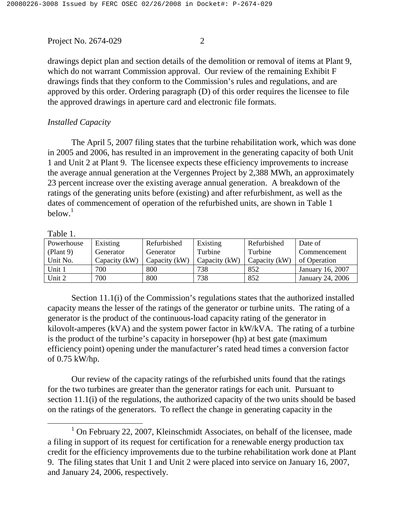drawings depict plan and section details of the demolition or removal of items at Plant 9, which do not warrant Commission approval. Our review of the remaining Exhibit F drawings finds that they conform to the Commission's rules and regulations, and are approved by this order. Ordering paragraph (D) of this order requires the licensee to file the approved drawings in aperture card and electronic file formats.

## *Installed Capacity*

The April 5, 2007 filing states that the turbine rehabilitation work, which was done in 2005 and 2006, has resulted in an improvement in the generating capacity of both Unit 1 and Unit 2 at Plant 9. The licensee expects these efficiency improvements to increase the average annual generation at the Vergennes Project by 2,388 MWh, an approximately 23 percent increase over the existing average annual generation. A breakdown of the ratings of the generating units before (existing) and after refurbishment, as well as the dates of commencement of operation of the refurbished units, are shown in Table 1 below. 1

#### Table 1.

| Powerhouse | Existing      | Refurbished   | Existing      | Refurbished     | Date of          |
|------------|---------------|---------------|---------------|-----------------|------------------|
| (Plant 9)  | Generator     | Generator     | Turbine       | Turbine         | Commencement     |
| Unit No.   | Capacity (kW) | Capacity (kW) | Capacity (kW) | Capacity $(kW)$ | of Operation     |
| Unit 1     | 700           | 800           | 738           | 852             | January 16, 2007 |
| Unit 2     | 700           | 800           | 738           | 852             | January 24, 2006 |

Section 11.1(i) of the Commission's regulations states that the authorized installed capacity means the lesser of the ratings of the generator or turbine units. The rating of a generator is the product of the continuous-load capacity rating of the generator in kilovolt-amperes (kVA) and the system power factor in kW/kVA. The rating of a turbine is the product of the turbine's capacity in horsepower (hp) at best gate (maximum efficiency point) opening under the manufacturer's rated head times a conversion factor of 0.75 kW/hp.

Our review of the capacity ratings of the refurbished units found that the ratings for the two turbines are greater than the generator ratings for each unit. Pursuant to section 11.1(i) of the regulations, the authorized capacity of the two units should be based on the ratings of the generators. To reflect the change in generating capacity in the

<sup>&</sup>lt;sup>1</sup> On February 22, 2007, Kleinschmidt Associates, on behalf of the licensee, made a filing in support of its request for certification for a renewable energy production tax credit for the efficiency improvements due to the turbine rehabilitation work done at Plant 9. The filing states that Unit 1 and Unit 2 were placed into service on January 16, 2007, and January 24, 2006, respectively.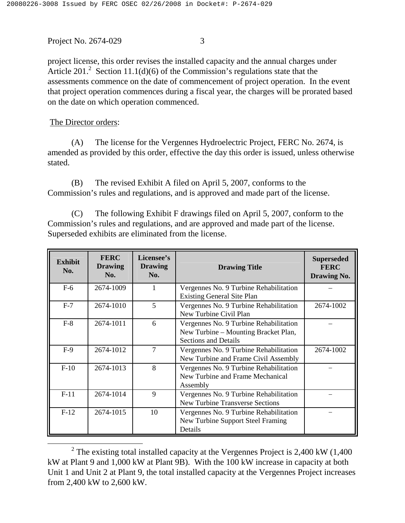project license, this order revises the installed capacity and the annual charges under Article 201.<sup>2</sup> Section 11.1(d)(6) of the Commission's regulations state that the assessments commence on the date of commencement of project operation. In the event that project operation commences during a fiscal year, the charges will be prorated based on the date on which operation commenced.

The Director orders:

(A) The license for the Vergennes Hydroelectric Project, FERC No. 2674, is amended as provided by this order, effective the day this order is issued, unless otherwise stated.

(B) The revised Exhibit A filed on April 5, 2007, conforms to the Commission's rules and regulations, and is approved and made part of the license.

(C) The following Exhibit F drawings filed on April 5, 2007, conform to the Commission's rules and regulations, and are approved and made part of the license. Superseded exhibits are eliminated from the license.

| <b>Exhibit</b><br>No. | <b>FERC</b><br><b>Drawing</b><br>No. | Licensee's<br><b>Drawing</b><br>No. | <b>Drawing Title</b>                                                                                          | <b>Superseded</b><br><b>FERC</b><br><b>Drawing No.</b> |
|-----------------------|--------------------------------------|-------------------------------------|---------------------------------------------------------------------------------------------------------------|--------------------------------------------------------|
| $F-6$                 | 2674-1009                            |                                     | Vergennes No. 9 Turbine Rehabilitation<br><b>Existing General Site Plan</b>                                   |                                                        |
| $F-7$                 | 2674-1010                            | 5                                   | Vergennes No. 9 Turbine Rehabilitation<br>New Turbine Civil Plan                                              | 2674-1002                                              |
| $F-8$                 | 2674-1011                            | 6                                   | Vergennes No. 9 Turbine Rehabilitation<br>New Turbine - Mounting Bracket Plan,<br><b>Sections and Details</b> |                                                        |
| $F-9$                 | 2674-1012                            | 7                                   | Vergennes No. 9 Turbine Rehabilitation<br>New Turbine and Frame Civil Assembly                                | 2674-1002                                              |
| $F-10$                | 2674-1013                            | 8                                   | Vergennes No. 9 Turbine Rehabilitation<br>New Turbine and Frame Mechanical<br>Assembly                        |                                                        |
| $F-11$                | 2674-1014                            | 9                                   | Vergennes No. 9 Turbine Rehabilitation<br><b>New Turbine Transverse Sections</b>                              |                                                        |
| $F-12$                | 2674-1015                            | 10                                  | Vergennes No. 9 Turbine Rehabilitation<br>New Turbine Support Steel Framing<br>Details                        |                                                        |

<sup>&</sup>lt;sup>2</sup> The existing total installed capacity at the Vergennes Project is 2,400 kW  $(1,400)$ kW at Plant 9 and 1,000 kW at Plant 9B). With the 100 kW increase in capacity at both Unit 1 and Unit 2 at Plant 9, the total installed capacity at the Vergennes Project increases from 2,400 kW to 2,600 kW.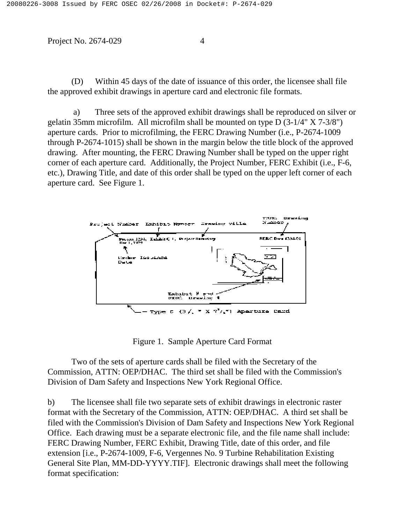(D) Within 45 days of the date of issuance of this order, the licensee shall file the approved exhibit drawings in aperture card and electronic file formats.

a) Three sets of the approved exhibit drawings shall be reproduced on silver or gelatin 35mm microfilm. All microfilm shall be mounted on type D (3-1/4" X 7-3/8") aperture cards. Prior to microfilming, the FERC Drawing Number (i.e., P-2674-1009 through P-2674-1015) shall be shown in the margin below the title block of the approved drawing. After mounting, the FERC Drawing Number shall be typed on the upper right corner of each aperture card. Additionally, the Project Number, FERC Exhibit (i.e., F-6, etc.), Drawing Title, and date of this order shall be typed on the upper left corner of each aperture card. See Figure 1.



Figure 1. Sample Aperture Card Format

Two of the sets of aperture cards shall be filed with the Secretary of the Commission, ATTN: OEP/DHAC. The third set shall be filed with the Commission's Division of Dam Safety and Inspections New York Regional Office.

b) The licensee shall file two separate sets of exhibit drawings in electronic raster format with the Secretary of the Commission, ATTN: OEP/DHAC. A third set shall be filed with the Commission's Division of Dam Safety and Inspections New York Regional Office. Each drawing must be a separate electronic file, and the file name shall include: FERC Drawing Number, FERC Exhibit, Drawing Title, date of this order, and file extension [i.e., P-2674-1009, F-6, Vergennes No. 9 Turbine Rehabilitation Existing General Site Plan, MM-DD-YYYY.TIF]. Electronic drawings shall meet the following format specification: